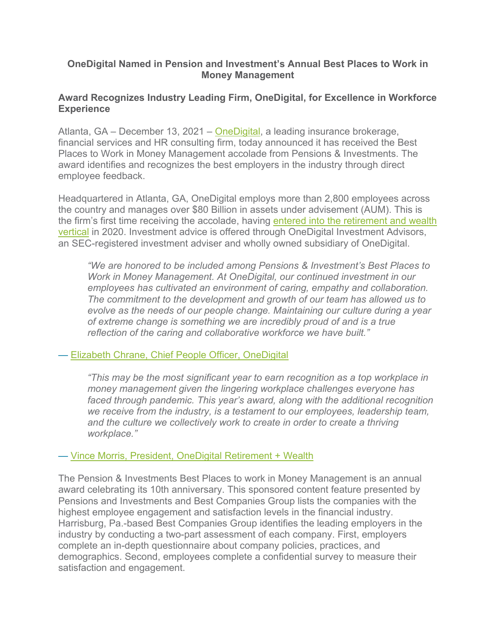## **OneDigital Named in Pension and Investment's Annual Best Places to Work in Money Management**

# **Award Recognizes Industry Leading Firm, OneDigital, for Excellence in Workforce Experience**

Atlanta, GA – December 13, 2021 – [OneDigital,](http://www.onedigital.com/) a leading insurance brokerage, financial services and HR consulting firm, today announced it has received the Best Places to Work in Money Management accolade from Pensions & Investments. The award identifies and recognizes the best employers in the industry through direct employee feedback.

Headquartered in Atlanta, GA, OneDigital employs more than 2,800 employees across the country and manages over \$80 Billion in assets under advisement (AUM). This is the firm's first time receiving the accolade, having entered into the retirement and wealth [vertical](https://www.onedigital.com/blog/onedigital-and-resource-leaders-talk-to-investmentnews-about-exciting-acquisition/) in 2020. Investment advice is offered through OneDigital Investment Advisors, an SEC-registered investment adviser and wholly owned subsidiary of OneDigital.

*"We are honored to be included among Pensions & Investment's Best Places to Work in Money Management. At OneDigital, our continued investment in our employees has cultivated an environment of caring, empathy and collaboration. The commitment to the development and growth of our team has allowed us to evolve as the needs of our people change. Maintaining our culture during a year of extreme change is something we are incredibly proud of and is a true reflection of the caring and collaborative workforce we have built."* 

## — [Elizabeth Chrane, Chief People Officer,](https://www.onedigital.com/profile/elizabeth-chrane/) OneDigital

*"This may be the most significant year to earn recognition as a top workplace in money management given the lingering workplace challenges everyone has*  faced through pandemic. This year's award, along with the additional recognition *we receive from the industry, is a testament to our employees, leadership team,*  and the culture we collectively work to create in order to create a thriving *workplace."* 

## — [Vince Morris, President, OneDigital Retirement + Wealth](https://www.onedigital.com/profile/vince-morris-aif/)

The Pension & Investments Best Places to work in Money Management is an annual award celebrating its 10th anniversary. This sponsored content feature presented by Pensions and Investments and Best Companies Group lists the companies with the highest employee engagement and satisfaction levels in the financial industry. Harrisburg, Pa.-based Best Companies Group identifies the leading employers in the industry by conducting a two-part assessment of each company. First, employers complete an in-depth questionnaire about company policies, practices, and demographics. Second, employees complete a confidential survey to measure their satisfaction and engagement.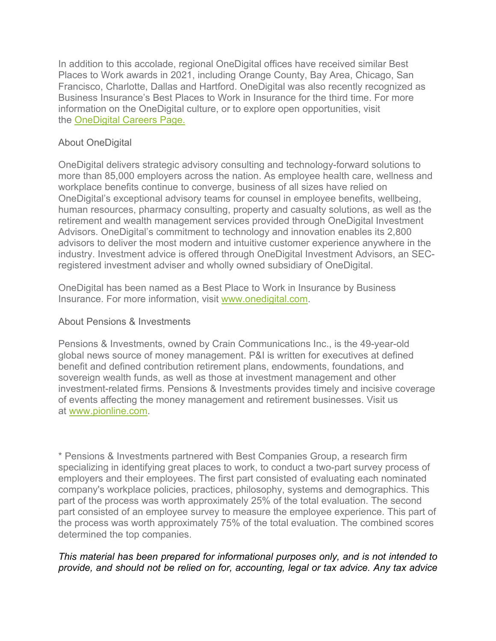In addition to this accolade, regional OneDigital offices have received similar Best Places to Work awards in 2021, including Orange County, Bay Area, Chicago, San Francisco, Charlotte, Dallas and Hartford. OneDigital was also recently recognized as Business Insurance's Best Places to Work in Insurance for the third time. For more information on the OneDigital culture, or to explore open opportunities, visit the [OneDigital Careers Page.](http://www.onedigital.com/careers/)

# About OneDigital

OneDigital delivers strategic advisory consulting and technology-forward solutions to more than 85,000 employers across the nation. As employee health care, wellness and workplace benefits continue to converge, business of all sizes have relied on OneDigital's exceptional advisory teams for counsel in employee benefits, wellbeing, human resources, pharmacy consulting, property and casualty solutions, as well as the retirement and wealth management services provided through OneDigital Investment Advisors. OneDigital's commitment to technology and innovation enables its 2,800 advisors to deliver the most modern and intuitive customer experience anywhere in the industry. Investment advice is offered through OneDigital Investment Advisors, an SECregistered investment adviser and wholly owned subsidiary of OneDigital.

OneDigital has been named as a Best Place to Work in Insurance by Business Insurance. For more information, visit [www.onedigital.com.](http://www.onedigital.com/)

## About Pensions & Investments

Pensions & Investments, owned by Crain Communications Inc., is the 49-year-old global news source of money management. P&I is written for executives at defined benefit and defined contribution retirement plans, endowments, foundations, and sovereign wealth funds, as well as those at investment management and other investment-related firms. Pensions & Investments provides timely and incisive coverage of events affecting the money management and retirement businesses. Visit us at [www.pionline.com.](http://www.pionline.com/)

\* Pensions & Investments partnered with Best Companies Group, a research firm specializing in identifying great places to work, to conduct a two-part survey process of employers and their employees. The first part consisted of evaluating each nominated company's workplace policies, practices, philosophy, systems and demographics. This part of the process was worth approximately 25% of the total evaluation. The second part consisted of an employee survey to measure the employee experience. This part of the process was worth approximately 75% of the total evaluation. The combined scores determined the top companies.

# *This material has been prepared for informational purposes only, and is not intended to provide, and should not be relied on for, accounting, legal or tax advice. Any tax advice*